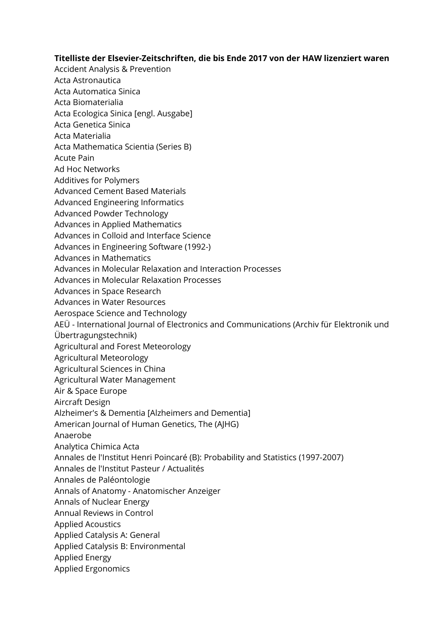## **Titelliste der Elsevier-Zeitschriften, die bis Ende 2017 von der HAW lizenziert waren**

- Accident Analysis & Prevention
- Acta Astronautica
- Acta Automatica Sinica
- Acta Biomaterialia
- Acta Ecologica Sinica [engl. Ausgabe]
- Acta Genetica Sinica
- Acta Materialia
- Acta Mathematica Scientia (Series B)
- Acute Pain
- Ad Hoc Networks
- Additives for Polymers
- Advanced Cement Based Materials
- Advanced Engineering Informatics
- Advanced Powder Technology
- Advances in Applied Mathematics
- Advances in Colloid and Interface Science
- Advances in Engineering Software (1992-)
- Advances in Mathematics
- Advances in Molecular Relaxation and Interaction Processes
- Advances in Molecular Relaxation Processes
- Advances in Space Research
- Advances in Water Resources
- Aerospace Science and Technology
- AEÜ International Journal of Electronics and Communications (Archiv für Elektronik und
- Übertragungstechnik)
- Agricultural and Forest Meteorology
- Agricultural Meteorology
- Agricultural Sciences in China
- Agricultural Water Management
- Air & Space Europe
- Aircraft Design
- Alzheimer's & Dementia [Alzheimers and Dementia]
- American Journal of Human Genetics, The (AJHG)
- Anaerobe
- Analytica Chimica Acta
- Annales de l'Institut Henri Poincaré (B): Probability and Statistics (1997-2007)
- Annales de l'Institut Pasteur / Actualités
- Annales de Paléontologie
- Annals of Anatomy Anatomischer Anzeiger
- Annals of Nuclear Energy
- Annual Reviews in Control
- Applied Acoustics
- Applied Catalysis A: General
- Applied Catalysis B: Environmental
- Applied Energy
- Applied Ergonomics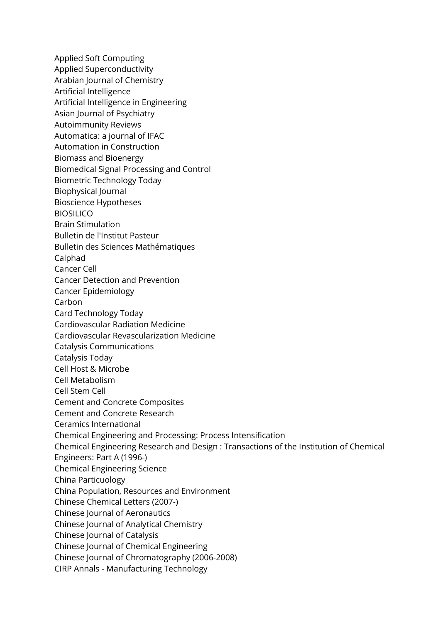Applied Soft Computing Applied Superconductivity Arabian Journal of Chemistry Artificial Intelligence Artificial Intelligence in Engineering Asian Journal of Psychiatry Autoimmunity Reviews Automatica: a journal of IFAC Automation in Construction Biomass and Bioenergy Biomedical Signal Processing and Control Biometric Technology Today Biophysical Journal Bioscience Hypotheses BIOSILICO Brain Stimulation Bulletin de l'Institut Pasteur Bulletin des Sciences Mathématiques Calphad Cancer Cell Cancer Detection and Prevention Cancer Epidemiology Carbon Card Technology Today Cardiovascular Radiation Medicine Cardiovascular Revascularization Medicine Catalysis Communications Catalysis Today Cell Host & Microbe Cell Metabolism Cell Stem Cell Cement and Concrete Composites Cement and Concrete Research Ceramics International Chemical Engineering and Processing: Process Intensification Chemical Engineering Research and Design : Transactions of the Institution of Chemical Engineers: Part A (1996-) Chemical Engineering Science China Particuology China Population, Resources and Environment Chinese Chemical Letters (2007-) Chinese Journal of Aeronautics Chinese Journal of Analytical Chemistry Chinese Journal of Catalysis Chinese Journal of Chemical Engineering Chinese Journal of Chromatography (2006-2008) CIRP Annals - Manufacturing Technology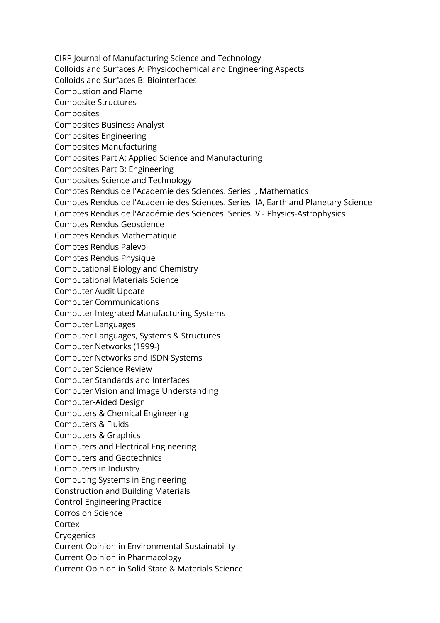CIRP Journal of Manufacturing Science and Technology Colloids and Surfaces A: Physicochemical and Engineering Aspects Colloids and Surfaces B: Biointerfaces Combustion and Flame Composite Structures Composites Composites Business Analyst Composites Engineering Composites Manufacturing Composites Part A: Applied Science and Manufacturing Composites Part B: Engineering Composites Science and Technology Comptes Rendus de l'Academie des Sciences. Series I, Mathematics Comptes Rendus de l'Academie des Sciences. Series IIA, Earth and Planetary Science Comptes Rendus de l'Académie des Sciences. Series IV - Physics-Astrophysics Comptes Rendus Geoscience Comptes Rendus Mathematique Comptes Rendus Palevol Comptes Rendus Physique Computational Biology and Chemistry Computational Materials Science Computer Audit Update Computer Communications Computer Integrated Manufacturing Systems Computer Languages Computer Languages, Systems & Structures Computer Networks (1999-) Computer Networks and ISDN Systems Computer Science Review Computer Standards and Interfaces Computer Vision and Image Understanding Computer-Aided Design Computers & Chemical Engineering Computers & Fluids Computers & Graphics Computers and Electrical Engineering Computers and Geotechnics Computers in Industry Computing Systems in Engineering Construction and Building Materials Control Engineering Practice Corrosion Science Cortex Cryogenics Current Opinion in Environmental Sustainability Current Opinion in Pharmacology Current Opinion in Solid State & Materials Science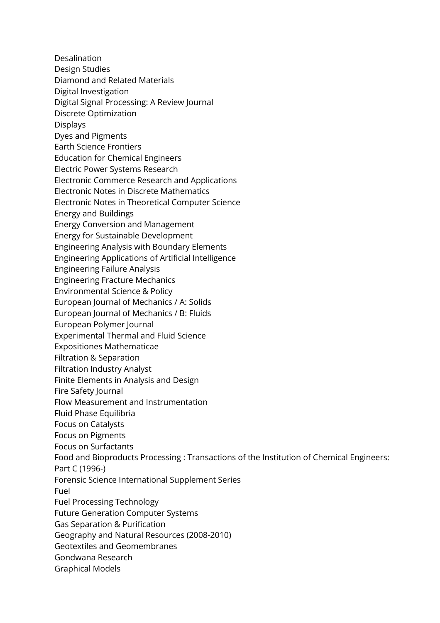Desalination Design Studies Diamond and Related Materials Digital Investigation Digital Signal Processing: A Review Journal Discrete Optimization Displays Dyes and Pigments Earth Science Frontiers Education for Chemical Engineers Electric Power Systems Research Electronic Commerce Research and Applications Electronic Notes in Discrete Mathematics Electronic Notes in Theoretical Computer Science Energy and Buildings Energy Conversion and Management Energy for Sustainable Development Engineering Analysis with Boundary Elements Engineering Applications of Artificial Intelligence Engineering Failure Analysis Engineering Fracture Mechanics Environmental Science & Policy European Journal of Mechanics / A: Solids European Journal of Mechanics / B: Fluids European Polymer Journal Experimental Thermal and Fluid Science Expositiones Mathematicae Filtration & Separation Filtration Industry Analyst Finite Elements in Analysis and Design Fire Safety Journal Flow Measurement and Instrumentation Fluid Phase Equilibria Focus on Catalysts Focus on Pigments Focus on Surfactants Food and Bioproducts Processing : Transactions of the Institution of Chemical Engineers: Part C (1996-) Forensic Science International Supplement Series Fuel Fuel Processing Technology Future Generation Computer Systems Gas Separation & Purification Geography and Natural Resources (2008-2010) Geotextiles and Geomembranes Gondwana Research Graphical Models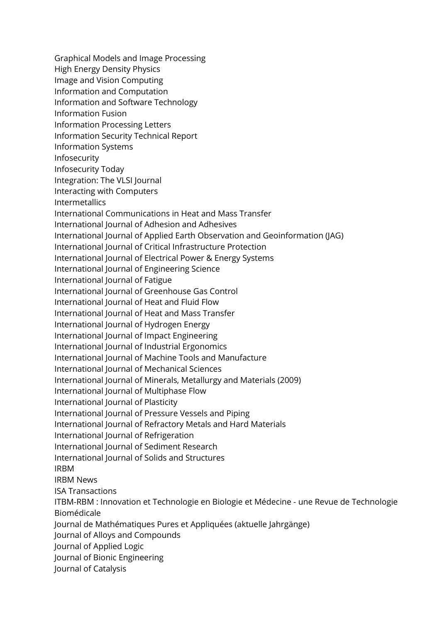Graphical Models and Image Processing High Energy Density Physics Image and Vision Computing Information and Computation Information and Software Technology Information Fusion Information Processing Letters Information Security Technical Report Information Systems Infosecurity Infosecurity Today Integration: The VLSI Journal Interacting with Computers Intermetallics International Communications in Heat and Mass Transfer International Journal of Adhesion and Adhesives International Journal of Applied Earth Observation and Geoinformation (JAG) International Journal of Critical Infrastructure Protection International Journal of Electrical Power & Energy Systems International Journal of Engineering Science International Journal of Fatigue International Journal of Greenhouse Gas Control International Journal of Heat and Fluid Flow International Journal of Heat and Mass Transfer International Journal of Hydrogen Energy International Journal of Impact Engineering International Journal of Industrial Ergonomics International Journal of Machine Tools and Manufacture International Journal of Mechanical Sciences International Journal of Minerals, Metallurgy and Materials (2009) International Journal of Multiphase Flow International Journal of Plasticity International Journal of Pressure Vessels and Piping International Journal of Refractory Metals and Hard Materials International Journal of Refrigeration International Journal of Sediment Research International Journal of Solids and Structures IRBM IRBM News ISA Transactions ITBM-RBM : Innovation et Technologie en Biologie et Médecine - une Revue de Technologie Biomédicale Journal de Mathématiques Pures et Appliquées (aktuelle Jahrgänge) Journal of Alloys and Compounds Journal of Applied Logic Journal of Bionic Engineering Journal of Catalysis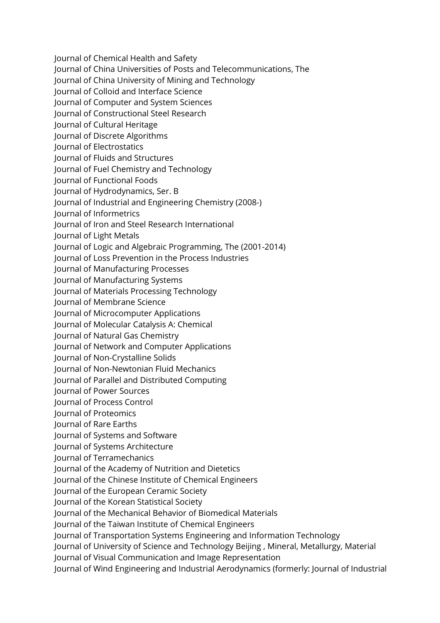Journal of Chemical Health and Safety Journal of China Universities of Posts and Telecommunications, The Journal of China University of Mining and Technology Journal of Colloid and Interface Science Journal of Computer and System Sciences Journal of Constructional Steel Research Journal of Cultural Heritage Journal of Discrete Algorithms Journal of Electrostatics Journal of Fluids and Structures Journal of Fuel Chemistry and Technology Journal of Functional Foods Journal of Hydrodynamics, Ser. B Journal of Industrial and Engineering Chemistry (2008-) Journal of Informetrics Journal of Iron and Steel Research International Journal of Light Metals Journal of Logic and Algebraic Programming, The (2001-2014) Journal of Loss Prevention in the Process Industries Journal of Manufacturing Processes Journal of Manufacturing Systems Journal of Materials Processing Technology Journal of Membrane Science Journal of Microcomputer Applications Journal of Molecular Catalysis A: Chemical Journal of Natural Gas Chemistry Journal of Network and Computer Applications Journal of Non-Crystalline Solids Journal of Non-Newtonian Fluid Mechanics Journal of Parallel and Distributed Computing Journal of Power Sources Journal of Process Control Journal of Proteomics Journal of Rare Earths Journal of Systems and Software Journal of Systems Architecture Journal of Terramechanics Journal of the Academy of Nutrition and Dietetics Journal of the Chinese Institute of Chemical Engineers Journal of the European Ceramic Society Journal of the Korean Statistical Society Journal of the Mechanical Behavior of Biomedical Materials Journal of the Taiwan Institute of Chemical Engineers Journal of Transportation Systems Engineering and Information Technology Journal of University of Science and Technology Beijing , Mineral, Metallurgy, Material

Journal of Visual Communication and Image Representation

Journal of Wind Engineering and Industrial Aerodynamics (formerly: Journal of Industrial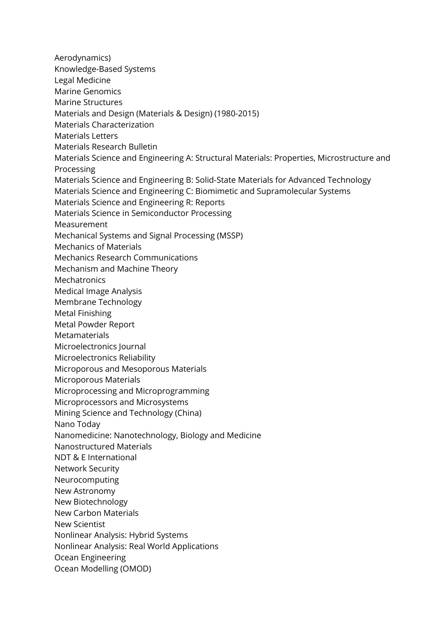Aerodynamics) Knowledge-Based Systems Legal Medicine Marine Genomics Marine Structures Materials and Design (Materials & Design) (1980-2015) Materials Characterization Materials Letters Materials Research Bulletin Materials Science and Engineering A: Structural Materials: Properties, Microstructure and Processing Materials Science and Engineering B: Solid-State Materials for Advanced Technology Materials Science and Engineering C: Biomimetic and Supramolecular Systems Materials Science and Engineering R: Reports Materials Science in Semiconductor Processing Measurement Mechanical Systems and Signal Processing (MSSP) Mechanics of Materials Mechanics Research Communications Mechanism and Machine Theory **Mechatronics** Medical Image Analysis Membrane Technology Metal Finishing Metal Powder Report Metamaterials Microelectronics Journal Microelectronics Reliability Microporous and Mesoporous Materials Microporous Materials Microprocessing and Microprogramming Microprocessors and Microsystems Mining Science and Technology (China) Nano Today Nanomedicine: Nanotechnology, Biology and Medicine Nanostructured Materials NDT & E International Network Security Neurocomputing New Astronomy New Biotechnology New Carbon Materials New Scientist Nonlinear Analysis: Hybrid Systems Nonlinear Analysis: Real World Applications Ocean Engineering Ocean Modelling (OMOD)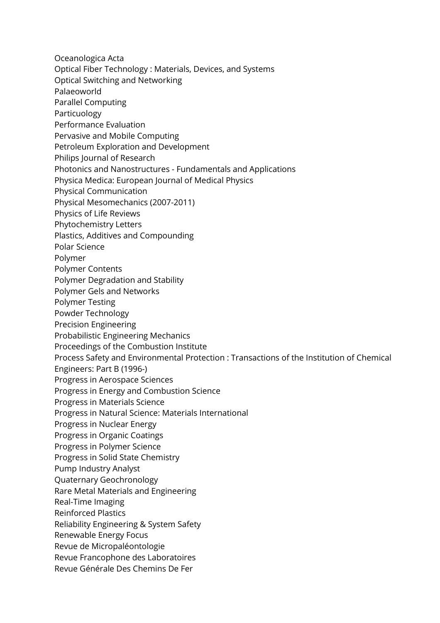Oceanologica Acta Optical Fiber Technology : Materials, Devices, and Systems Optical Switching and Networking Palaeoworld Parallel Computing Particuology Performance Evaluation Pervasive and Mobile Computing Petroleum Exploration and Development Philips Journal of Research Photonics and Nanostructures - Fundamentals and Applications Physica Medica: European Journal of Medical Physics Physical Communication Physical Mesomechanics (2007-2011) Physics of Life Reviews Phytochemistry Letters Plastics, Additives and Compounding Polar Science Polymer Polymer Contents Polymer Degradation and Stability Polymer Gels and Networks Polymer Testing Powder Technology Precision Engineering Probabilistic Engineering Mechanics Proceedings of the Combustion Institute Process Safety and Environmental Protection : Transactions of the Institution of Chemical Engineers: Part B (1996-) Progress in Aerospace Sciences Progress in Energy and Combustion Science Progress in Materials Science Progress in Natural Science: Materials International Progress in Nuclear Energy Progress in Organic Coatings Progress in Polymer Science Progress in Solid State Chemistry Pump Industry Analyst Quaternary Geochronology Rare Metal Materials and Engineering Real-Time Imaging Reinforced Plastics Reliability Engineering & System Safety Renewable Energy Focus Revue de Micropaléontologie Revue Francophone des Laboratoires Revue Générale Des Chemins De Fer